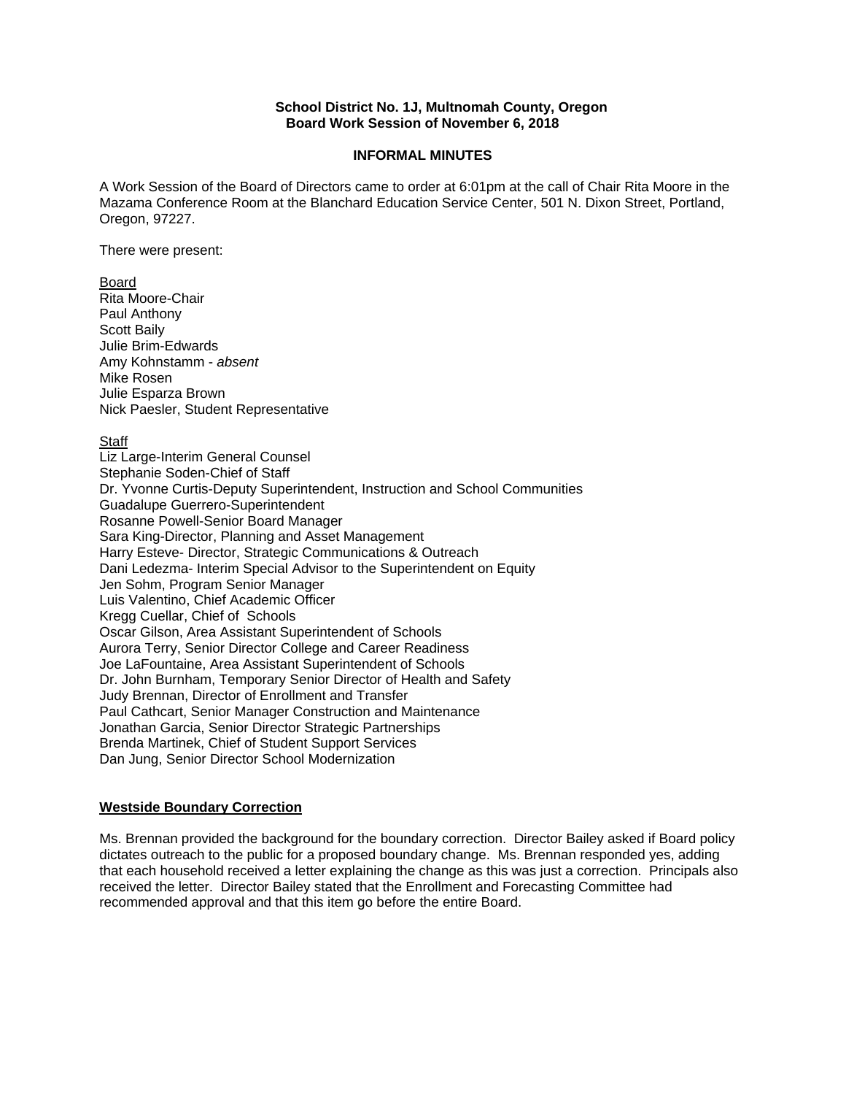### **School District No. 1J, Multnomah County, Oregon Board Work Session of November 6, 2018**

#### **INFORMAL MINUTES**

A Work Session of the Board of Directors came to order at 6:01pm at the call of Chair Rita Moore in the Mazama Conference Room at the Blanchard Education Service Center, 501 N. Dixon Street, Portland, Oregon, 97227.

There were present:

### Board

Rita Moore-Chair Paul Anthony Scott Baily Julie Brim-Edwards Amy Kohnstamm - *absent*  Mike Rosen Julie Esparza Brown Nick Paesler, Student Representative

**Staff** 

Liz Large-Interim General Counsel Stephanie Soden-Chief of Staff Dr. Yvonne Curtis-Deputy Superintendent, Instruction and School Communities Guadalupe Guerrero-Superintendent Rosanne Powell-Senior Board Manager Sara King-Director, Planning and Asset Management Harry Esteve- Director, Strategic Communications & Outreach Dani Ledezma- Interim Special Advisor to the Superintendent on Equity Jen Sohm, Program Senior Manager Luis Valentino, Chief Academic Officer Kregg Cuellar, Chief of Schools Oscar Gilson, Area Assistant Superintendent of Schools Aurora Terry, Senior Director College and Career Readiness Joe LaFountaine, Area Assistant Superintendent of Schools Dr. John Burnham, Temporary Senior Director of Health and Safety Judy Brennan, Director of Enrollment and Transfer Paul Cathcart, Senior Manager Construction and Maintenance Jonathan Garcia, Senior Director Strategic Partnerships Brenda Martinek, Chief of Student Support Services Dan Jung, Senior Director School Modernization

### **Westside Boundary Correction**

Ms. Brennan provided the background for the boundary correction. Director Bailey asked if Board policy dictates outreach to the public for a proposed boundary change. Ms. Brennan responded yes, adding that each household received a letter explaining the change as this was just a correction. Principals also received the letter. Director Bailey stated that the Enrollment and Forecasting Committee had recommended approval and that this item go before the entire Board.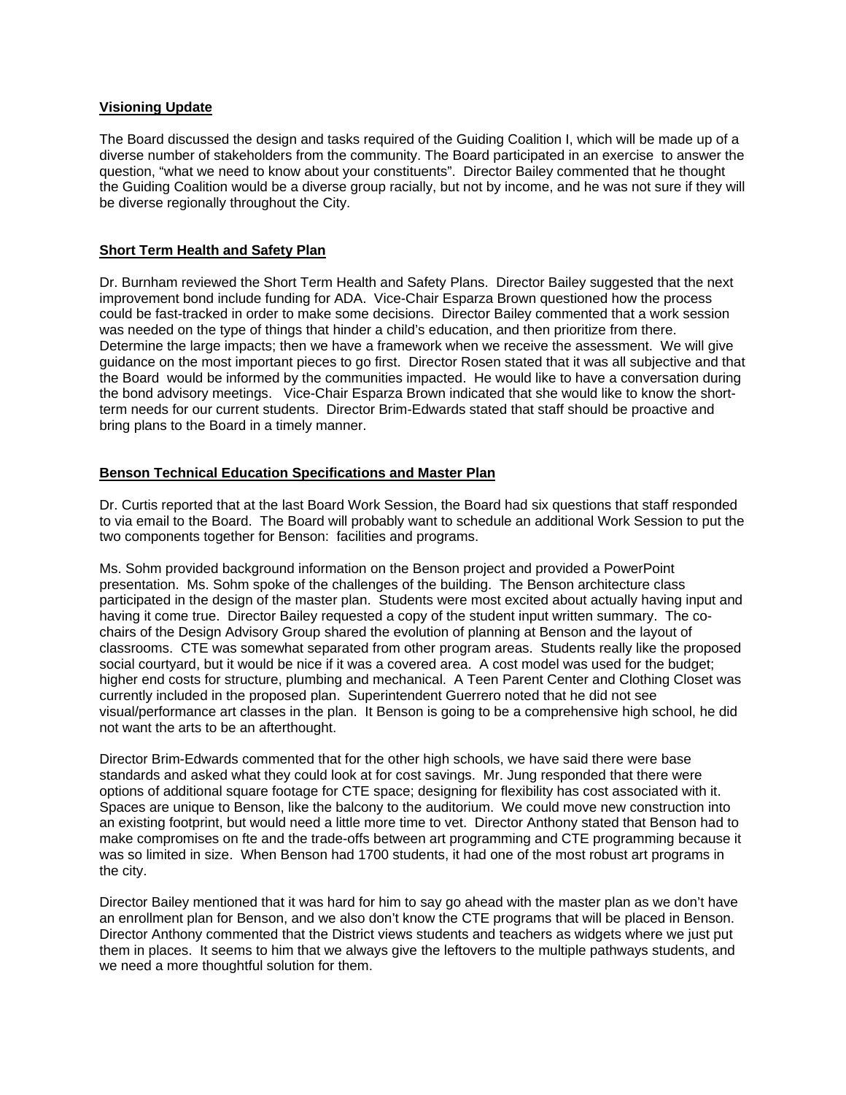## **Visioning Update**

The Board discussed the design and tasks required of the Guiding Coalition I, which will be made up of a diverse number of stakeholders from the community. The Board participated in an exercise to answer the question, "what we need to know about your constituents". Director Bailey commented that he thought the Guiding Coalition would be a diverse group racially, but not by income, and he was not sure if they will be diverse regionally throughout the City.

# **Short Term Health and Safety Plan**

Dr. Burnham reviewed the Short Term Health and Safety Plans. Director Bailey suggested that the next improvement bond include funding for ADA. Vice-Chair Esparza Brown questioned how the process could be fast-tracked in order to make some decisions. Director Bailey commented that a work session was needed on the type of things that hinder a child's education, and then prioritize from there. Determine the large impacts; then we have a framework when we receive the assessment. We will give guidance on the most important pieces to go first. Director Rosen stated that it was all subjective and that the Board would be informed by the communities impacted. He would like to have a conversation during the bond advisory meetings. Vice-Chair Esparza Brown indicated that she would like to know the shortterm needs for our current students. Director Brim-Edwards stated that staff should be proactive and bring plans to the Board in a timely manner.

### **Benson Technical Education Specifications and Master Plan**

Dr. Curtis reported that at the last Board Work Session, the Board had six questions that staff responded to via email to the Board. The Board will probably want to schedule an additional Work Session to put the two components together for Benson: facilities and programs.

Ms. Sohm provided background information on the Benson project and provided a PowerPoint presentation. Ms. Sohm spoke of the challenges of the building. The Benson architecture class participated in the design of the master plan. Students were most excited about actually having input and having it come true. Director Bailey requested a copy of the student input written summary. The cochairs of the Design Advisory Group shared the evolution of planning at Benson and the layout of classrooms. CTE was somewhat separated from other program areas. Students really like the proposed social courtyard, but it would be nice if it was a covered area. A cost model was used for the budget; higher end costs for structure, plumbing and mechanical. A Teen Parent Center and Clothing Closet was currently included in the proposed plan. Superintendent Guerrero noted that he did not see visual/performance art classes in the plan. It Benson is going to be a comprehensive high school, he did not want the arts to be an afterthought.

Director Brim-Edwards commented that for the other high schools, we have said there were base standards and asked what they could look at for cost savings. Mr. Jung responded that there were options of additional square footage for CTE space; designing for flexibility has cost associated with it. Spaces are unique to Benson, like the balcony to the auditorium. We could move new construction into an existing footprint, but would need a little more time to vet. Director Anthony stated that Benson had to make compromises on fte and the trade-offs between art programming and CTE programming because it was so limited in size. When Benson had 1700 students, it had one of the most robust art programs in the city.

Director Bailey mentioned that it was hard for him to say go ahead with the master plan as we don't have an enrollment plan for Benson, and we also don't know the CTE programs that will be placed in Benson. Director Anthony commented that the District views students and teachers as widgets where we just put them in places. It seems to him that we always give the leftovers to the multiple pathways students, and we need a more thoughtful solution for them.